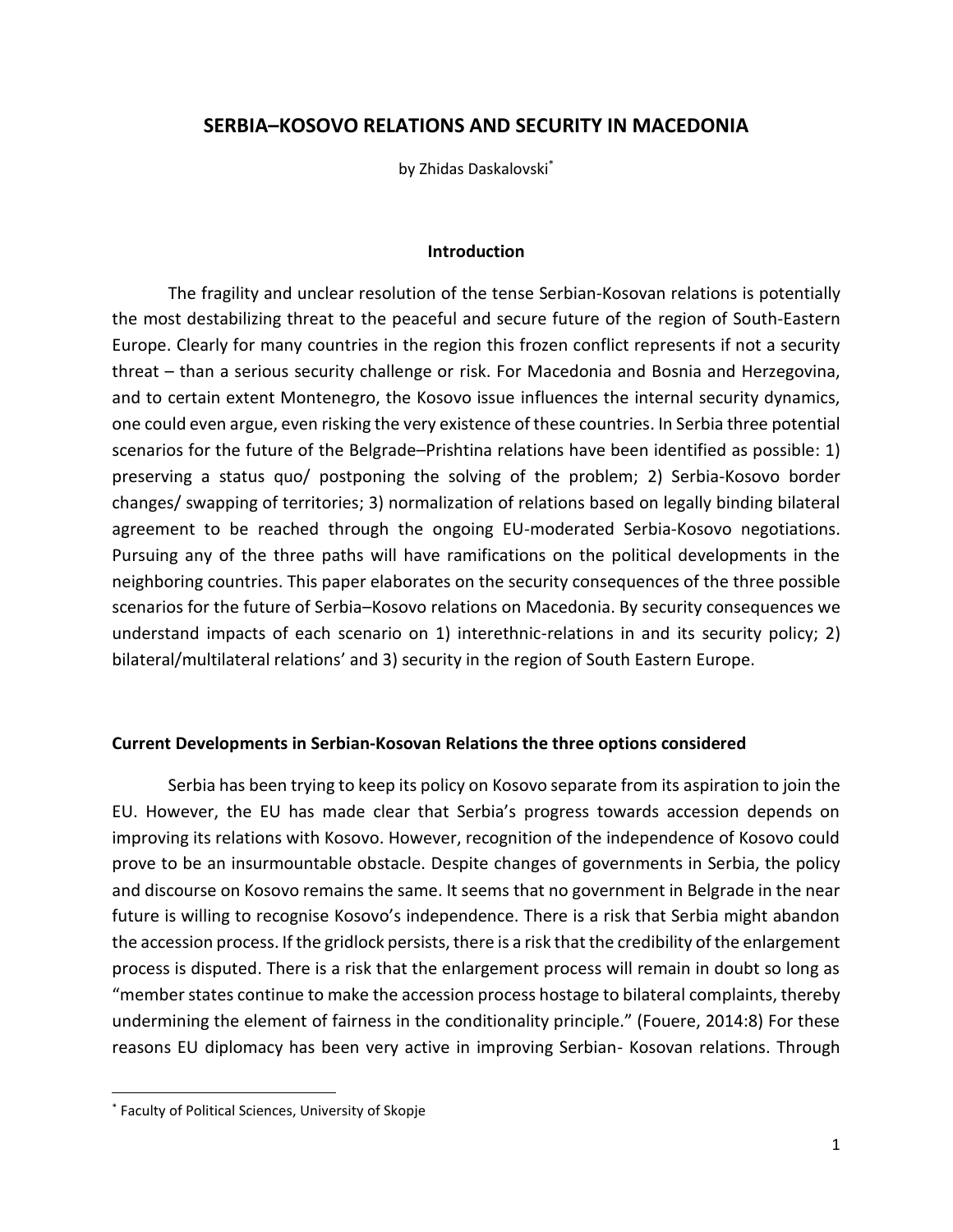# **SERBIA–KOSOVO RELATIONS AND SECURITY IN MACEDONIA**

by Zhidas Daskalovski\*

### **Introduction**

The fragility and unclear resolution of the tense Serbian-Kosovan relations is potentially the most destabilizing threat to the peaceful and secure future of the region of South-Eastern Europe. Clearly for many countries in the region this frozen conflict represents if not a security threat – than a serious security challenge or risk. For Macedonia and Bosnia and Herzegovina, and to certain extent Montenegro, the Kosovo issue influences the internal security dynamics, one could even argue, even risking the very existence of these countries. In Serbia three potential scenarios for the future of the Belgrade–Prishtina relations have been identified as possible: 1) preserving a status quo/ postponing the solving of the problem; 2) Serbia-Kosovo border changes/ swapping of territories; 3) normalization of relations based on legally binding bilateral agreement to be reached through the ongoing EU-moderated Serbia-Kosovo negotiations. Pursuing any of the three paths will have ramifications on the political developments in the neighboring countries. This paper elaborates on the security consequences of the three possible scenarios for the future of Serbia–Kosovo relations on Macedonia. By security consequences we understand impacts of each scenario on 1) interethnic-relations in and its security policy; 2) bilateral/multilateral relations' and 3) security in the region of South Eastern Europe.

## **Current Developments in Serbian-Kosovan Relations the three options considered**

Serbia has been trying to keep its policy on Kosovo separate from its aspiration to join the EU. However, the EU has made clear that Serbia's progress towards accession depends on improving its relations with Kosovo. However, recognition of the independence of Kosovo could prove to be an insurmountable obstacle. Despite changes of governments in Serbia, the policy and discourse on Kosovo remains the same. It seems that no government in Belgrade in the near future is willing to recognise Kosovo's independence. There is a risk that Serbia might abandon the accession process. If the gridlock persists, there is a risk that the credibility of the enlargement process is disputed. There is a risk that the enlargement process will remain in doubt so long as "member states continue to make the accession process hostage to bilateral complaints, thereby undermining the element of fairness in the conditionality principle." (Fouere, 2014:8) For these reasons EU diplomacy has been very active in improving Serbian- Kosovan relations. Through

<sup>\*</sup> Faculty of Political Sciences, University of Skopje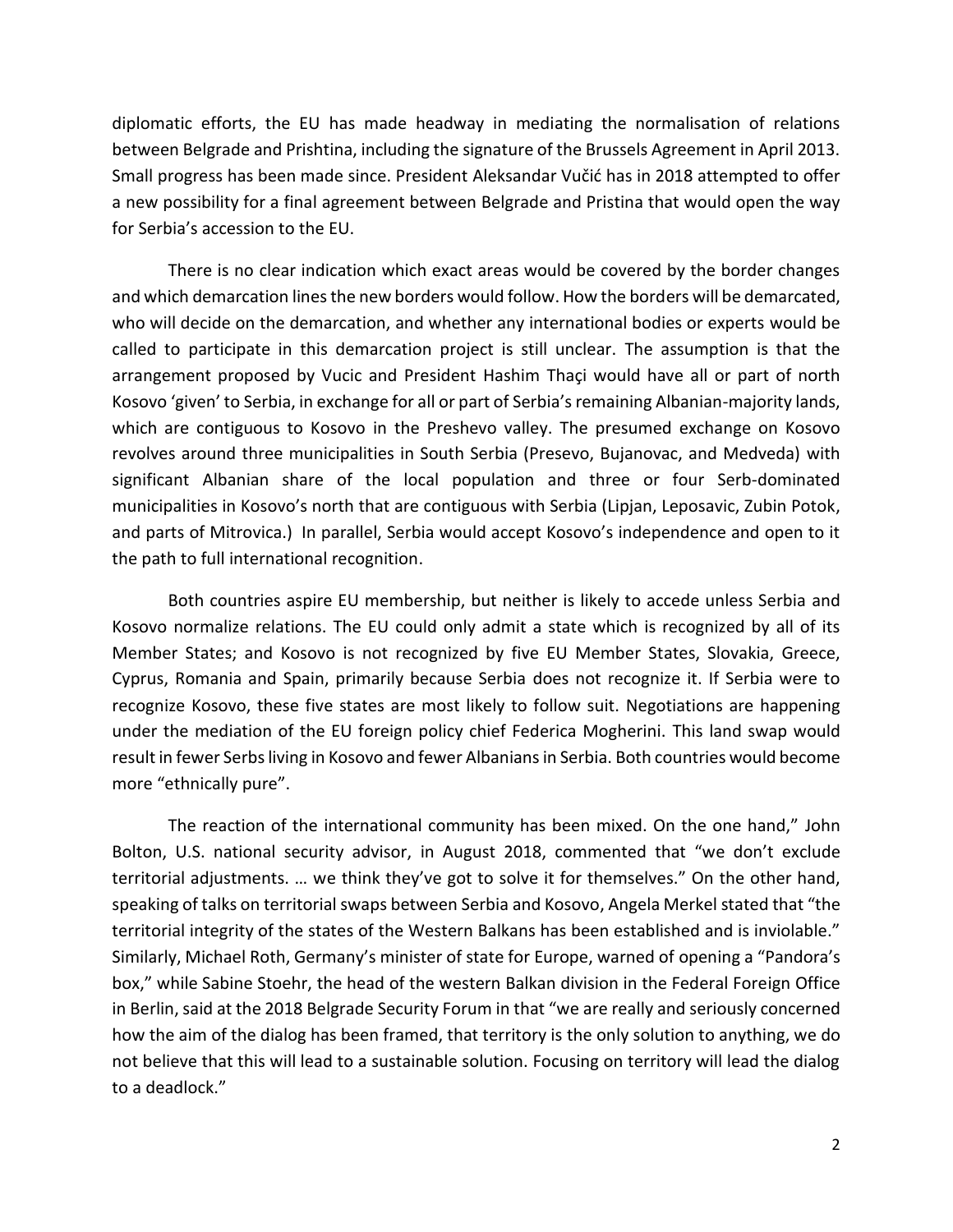diplomatic efforts, the EU has made headway in mediating the normalisation of relations between Belgrade and Prishtina, including the signature of the Brussels Agreement in April 2013. Small progress has been made since. President Aleksandar Vučić has in 2018 attempted to offer a new possibility for a final agreement between Belgrade and Pristina that would open the way for Serbia's accession to the EU.

There is no clear indication which exact areas would be covered by the border changes and which demarcation lines the new borders would follow. How the borders will be demarcated, who will decide on the demarcation, and whether any international bodies or experts would be called to participate in this demarcation project is still unclear. The assumption is that the arrangement proposed by Vucic and President Hashim Thaçi would have all or part of north Kosovo 'given' to Serbia, in exchange for all or part of Serbia's remaining Albanian-majority lands, which are contiguous to Kosovo in the Preshevo valley. The presumed exchange on Kosovo revolves around three municipalities in South Serbia (Presevo, Bujanovac, and Medveda) with significant Albanian share of the local population and three or four Serb-dominated municipalities in Kosovo's north that are contiguous with Serbia (Lipjan, Leposavic, Zubin Potok, and parts of Mitrovica.) In parallel, Serbia would accept Kosovo's independence and open to it the path to full international recognition.

Both countries aspire EU membership, but neither is likely to accede unless Serbia and Kosovo normalize relations. The EU could only admit a state which is recognized by all of its Member States; and Kosovo is not recognized by five EU Member States, Slovakia, Greece, Cyprus, Romania and Spain, primarily because Serbia does not recognize it. If Serbia were to recognize Kosovo, these five states are most likely to follow suit. Negotiations are happening under the mediation of the EU foreign policy chief Federica Mogherini. This land swap would result in fewer Serbs living in Kosovo and fewer Albanians in Serbia. Both countries would become more "ethnically pure".

The reaction of the international community has been mixed. On the one hand," John Bolton, U.S. national security advisor, in August 2018, commented that "we don't exclude territorial adjustments. … we think they've got to solve it for themselves." On the other hand, speaking of talks on territorial swaps between Serbia and Kosovo, Angela Merkel stated that "the territorial integrity of the states of the Western Balkans has been established and is inviolable." Similarly, Michael Roth, Germany's minister of state for Europe, warned of opening a "Pandora's box," while Sabine Stoehr, the head of the western Balkan division in the Federal Foreign Office in Berlin, said at the 2018 Belgrade Security Forum in that "we are really and seriously concerned how the aim of the dialog has been framed, that territory is the only solution to anything, we do not believe that this will lead to a sustainable solution. Focusing on territory will lead the dialog to a deadlock."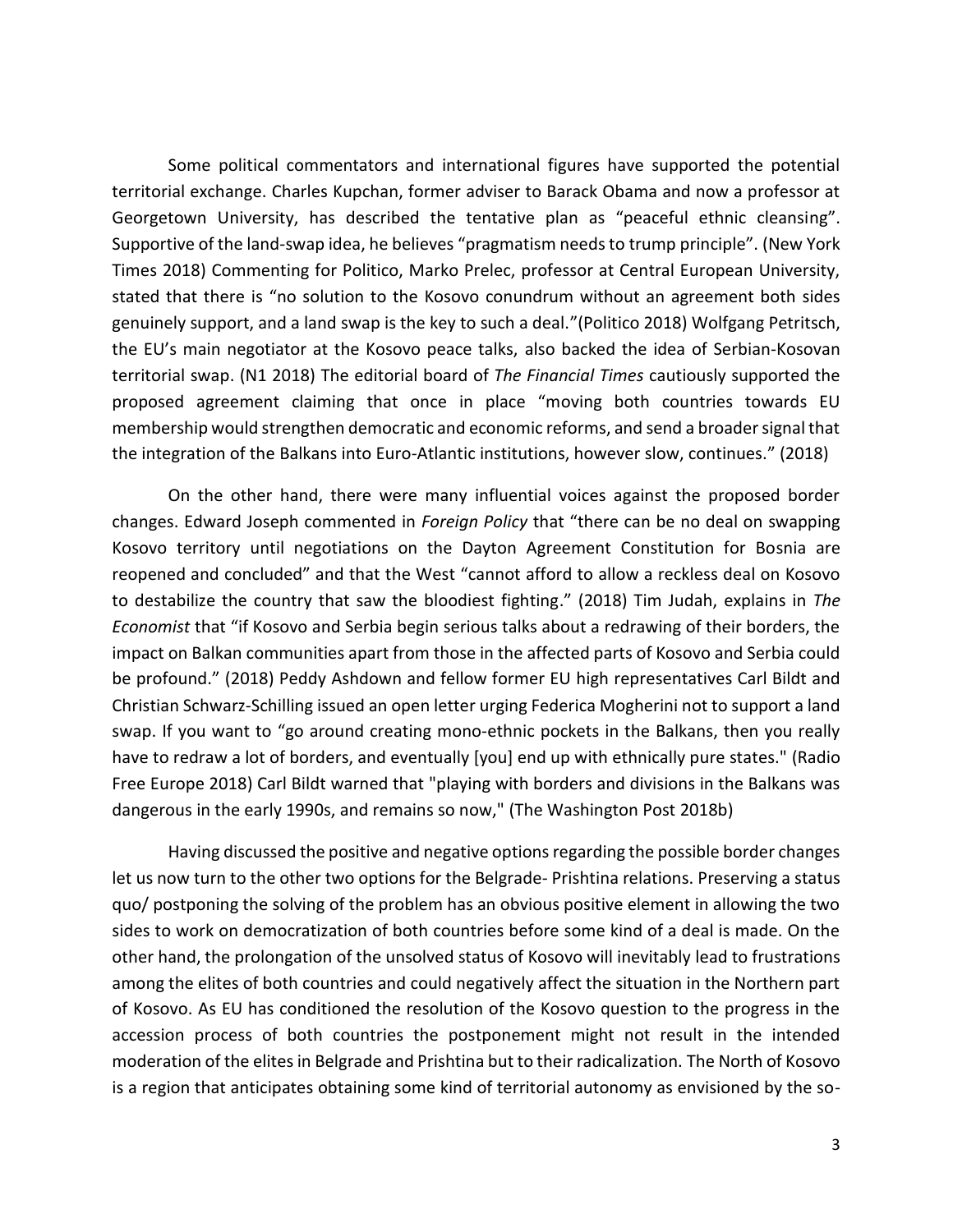Some political commentators and international figures have supported the potential territorial exchange. Charles Kupchan, former adviser to Barack Obama and now a professor at Georgetown University, has described the tentative plan as "peaceful ethnic cleansing". Supportive of the land-swap idea, he believes "pragmatism needs to trump principle". (New York Times 2018) Commenting for Politico, Marko Prelec, professor at Central European University, stated that there is "no solution to the Kosovo conundrum without an agreement both sides genuinely support, and a land swap is the key to such a deal."(Politico 2018) Wolfgang Petritsch, the EU's main negotiator at the Kosovo peace talks, also backed the idea of Serbian-Kosovan territorial swap. (N1 2018) The editorial board of *The Financial Times* cautiously supported the proposed agreement claiming that once in place "moving both countries towards EU membership would strengthen democratic and economic reforms, and send a broader signal that the integration of the Balkans into Euro-Atlantic institutions, however slow, continues." (2018)

On the other hand, there were many influential voices against the proposed border changes. Edward Joseph commented in *Foreign Policy* that "there can be no deal on swapping Kosovo territory until negotiations on the Dayton Agreement Constitution for Bosnia are reopened and concluded" and that the West "cannot afford to allow a reckless deal on Kosovo to destabilize the country that saw the bloodiest fighting." (2018) Tim Judah, explains in *The Economist* that "if Kosovo and Serbia begin serious talks about a redrawing of their borders, the impact on Balkan communities apart from those in the affected parts of Kosovo and Serbia could be profound." (2018) Peddy Ashdown and fellow former EU high representatives Carl Bildt and Christian Schwarz-Schilling issued an open letter urging Federica Mogherini not to support a land swap. If you want to "go around creating mono-ethnic pockets in the Balkans, then you really have to redraw a lot of borders, and eventually [you] end up with ethnically pure states." (Radio Free Europe 2018) Carl Bildt warned that "playing with borders and divisions in the Balkans was dangerous in the early 1990s, and remains so now," (The Washington Post 2018b)

Having discussed the positive and negative options regarding the possible border changes let us now turn to the other two options for the Belgrade- Prishtina relations. Preserving a status quo/ postponing the solving of the problem has an obvious positive element in allowing the two sides to work on democratization of both countries before some kind of a deal is made. On the other hand, the prolongation of the unsolved status of Kosovo will inevitably lead to frustrations among the elites of both countries and could negatively affect the situation in the Northern part of Kosovo. As EU has conditioned the resolution of the Kosovo question to the progress in the accession process of both countries the postponement might not result in the intended moderation of the elites in Belgrade and Prishtina but to their radicalization. The North of Kosovo is a region that anticipates obtaining some kind of territorial autonomy as envisioned by the so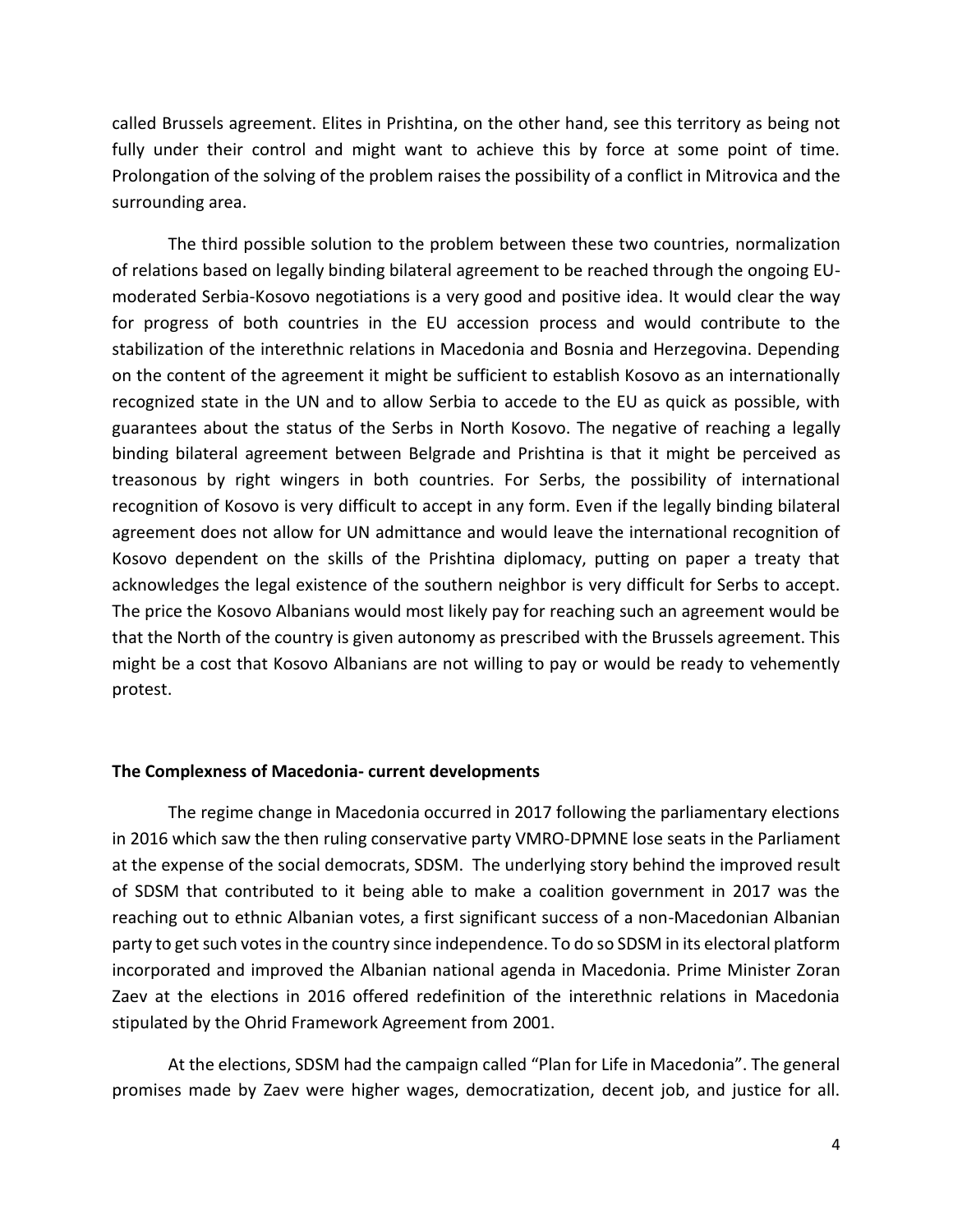called Brussels agreement. Elites in Prishtina, on the other hand, see this territory as being not fully under their control and might want to achieve this by force at some point of time. Prolongation of the solving of the problem raises the possibility of a conflict in Mitrovica and the surrounding area.

The third possible solution to the problem between these two countries, normalization of relations based on legally binding bilateral agreement to be reached through the ongoing EUmoderated Serbia-Kosovo negotiations is a very good and positive idea. It would clear the way for progress of both countries in the EU accession process and would contribute to the stabilization of the interethnic relations in Macedonia and Bosnia and Herzegovina. Depending on the content of the agreement it might be sufficient to establish Kosovo as an internationally recognized state in the UN and to allow Serbia to accede to the EU as quick as possible, with guarantees about the status of the Serbs in North Kosovo. The negative of reaching a legally binding bilateral agreement between Belgrade and Prishtina is that it might be perceived аs treasonous by right wingers in both countries. For Serbs, the possibility of international recognition of Kosovo is very difficult to accept in any form. Even if the legally binding bilateral agreement does not allow for UN admittance and would leave the international recognition of Kosovo dependent on the skills of the Prishtina diplomacy, putting on paper a treaty that acknowledges the legal existence of the southern neighbor is very difficult for Serbs to accept. The price the Kosovo Albanians would most likely pay for reaching such an agreement would be that the North of the country is given autonomy as prescribed with the Brussels agreement. This might be a cost that Kosovo Albanians are not willing to pay or would be ready to vehemently protest.

#### **The Complexness of Macedonia- current developments**

The regime change in Macedonia occurred in 2017 following the parliamentary elections in 2016 which saw the then ruling conservative party VMRO-DPMNE lose seats in the Parliament at the expense of the social democrats, SDSM. The underlying story behind the improved result of SDSM that contributed to it being able to make a coalition government in 2017 was the reaching out to ethnic Albanian votes, a first significant success of a non-Macedonian Albanian party to get such votes in the country since independence. To do so SDSM in its electoral platform incorporated and improved the Albanian national agenda in Macedonia. Prime Minister Zoran Zaev at the elections in 2016 offered redefinition of the interethnic relations in Macedonia stipulated by the Ohrid Framework Agreement from 2001.

At the elections, SDSM had the campaign called "Plan for Life in Macedonia". The general promises made by Zaev were higher wages, democratization, decent job, and justice for all.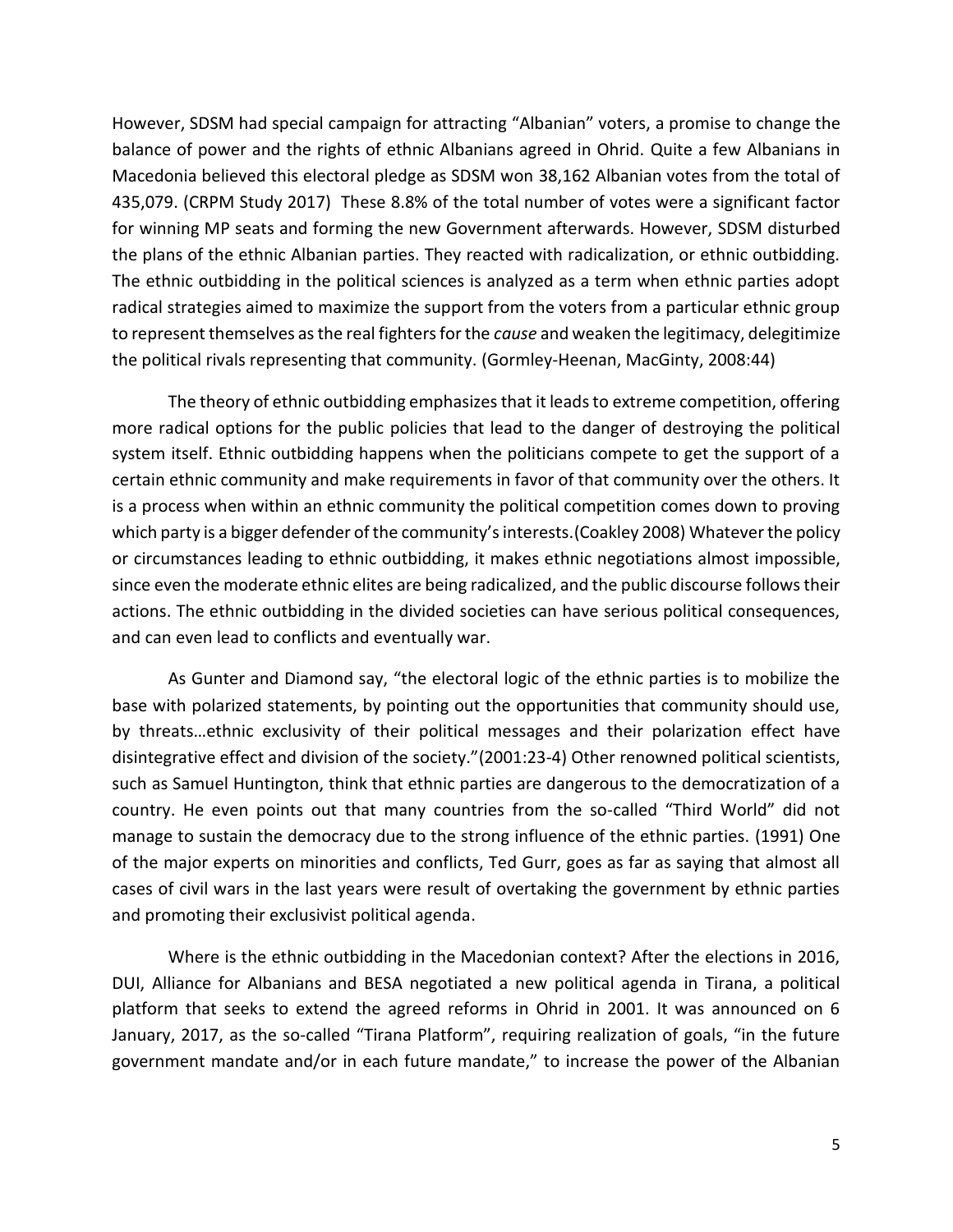However, SDSM had special campaign for attracting "Albanian" voters, a promise to change the balance of power and the rights of ethnic Albanians agreed in Ohrid. Quite a few Albanians in Macedonia believed this electoral pledge as SDSM won 38,162 Albanian votes from the total of 435,079. (CRPM Study 2017) These 8.8% of the total number of votes were a significant factor for winning MP seats and forming the new Government afterwards. However, SDSM disturbed the plans of the ethnic Albanian parties. They reacted with radicalization, or ethnic outbidding. The ethnic outbidding in the political sciences is analyzed as a term when ethnic parties adopt radical strategies aimed to maximize the support from the voters from a particular ethnic group to represent themselves as the real fighters for the *cause* and weaken the legitimacy, delegitimize the political rivals representing that community. (Gormley-Heenan, MacGinty, 2008:44)

The theory of ethnic outbidding emphasizes that it leads to extreme competition, offering more radical options for the public policies that lead to the danger of destroying the political system itself. Ethnic outbidding happens when the politicians compete to get the support of a certain ethnic community and make requirements in favor of that community over the others. It is a process when within an ethnic community the political competition comes down to proving which party is a bigger defender of the community's interests.(Coakley 2008) Whatever the policy or circumstances leading to ethnic outbidding, it makes ethnic negotiations almost impossible, since even the moderate ethnic elites are being radicalized, and the public discourse follows their actions. The ethnic outbidding in the divided societies can have serious political consequences, and can even lead to conflicts and eventually war.

As Gunter and Diamond say, "the electoral logic of the ethnic parties is to mobilize the base with polarized statements, by pointing out the opportunities that community should use, by threats…ethnic exclusivity of their political messages and their polarization effect have disintegrative effect and division of the society."(2001:23-4) Other renowned political scientists, such as Samuel Huntington, think that ethnic parties are dangerous to the democratization of a country. He even points out that many countries from the so-called "Third World" did not manage to sustain the democracy due to the strong influence of the ethnic parties. (1991) One of the major experts on minorities and conflicts, Ted Gurr, goes as far as saying that almost all cases of civil wars in the last years were result of overtaking the government by ethnic parties and promoting their exclusivist political agenda.

Where is the ethnic outbidding in the Macedonian context? After the elections in 2016, DUI, Alliance for Albanians and BESA negotiated a new political agenda in Tirana, a political platform that seeks to extend the agreed reforms in Ohrid in 2001. It was announced on 6 January, 2017, as the so-called "Tirana Platform", requiring realization of goals, "in the future government mandate and/or in each future mandate," to increase the power of the Albanian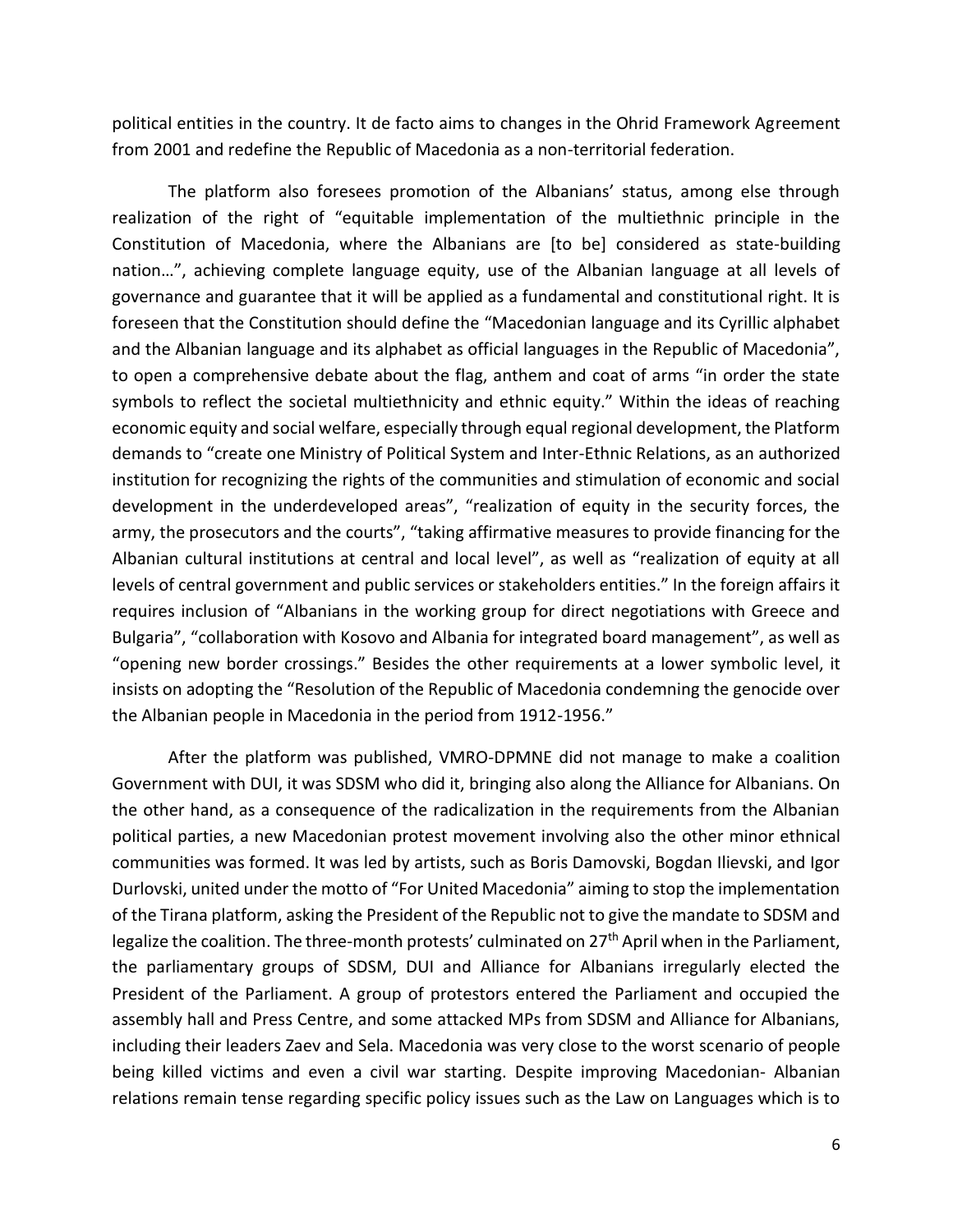political entities in the country. It de facto aims to changes in the Ohrid Framework Agreement from 2001 and redefine the Republic of Macedonia as a non-territorial federation.

The platform also foresees promotion of the Albanians' status, among else through realization of the right of "equitable implementation of the multiethnic principle in the Constitution of Macedonia, where the Albanians are [to be] considered as state-building nation…", achieving complete language equity, use of the Albanian language at all levels of governance and guarantee that it will be applied as a fundamental and constitutional right. It is foreseen that the Constitution should define the "Macedonian language and its Cyrillic alphabet and the Albanian language and its alphabet as official languages in the Republic of Macedonia", to open a comprehensive debate about the flag, anthem and coat of arms "in order the state symbols to reflect the societal multiethnicity and ethnic equity." Within the ideas of reaching economic equity and social welfare, especially through equal regional development, the Platform demands to "create one Ministry of Political System and Inter-Ethnic Relations, as an authorized institution for recognizing the rights of the communities and stimulation of economic and social development in the underdeveloped areas", "realization of equity in the security forces, the army, the prosecutors and the courts", "taking affirmative measures to provide financing for the Albanian cultural institutions at central and local level", as well as "realization of equity at all levels of central government and public services or stakeholders entities." In the foreign affairs it requires inclusion of "Albanians in the working group for direct negotiations with Greece and Bulgaria", "collaboration with Kosovo and Albania for integrated board management", as well as "opening new border crossings." Besides the other requirements at a lower symbolic level, it insists on adopting the "Resolution of the Republic of Macedonia condemning the genocide over the Albanian people in Macedonia in the period from 1912-1956."

After the platform was published, VMRO-DPMNE did not manage to make a coalition Government with DUI, it was SDSM who did it, bringing also along the Alliance for Albanians. On the other hand, as a consequence of the radicalization in the requirements from the Albanian political parties, a new Macedonian protest movement involving also the other minor ethnical communities was formed. It was led by artists, such as Boris Damovski, Bogdan Ilievski, and Igor Durlovski, united under the motto of "For United Macedonia" aiming to stop the implementation of the Tirana platform, asking the President of the Republic not to give the mandate to SDSM and legalize the coalition. The three-month protests' culminated on 27<sup>th</sup> April when in the Parliament, the parliamentary groups of SDSM, DUI and Alliance for Albanians irregularly elected the President of the Parliament. A group of protestors entered the Parliament and occupied the assembly hall and Press Centre, and some attacked MPs from SDSM and Alliance for Albanians, including their leaders Zaev and Sela. Macedonia was very close to the worst scenario of people being killed victims and even a civil war starting. Despite improving Macedonian- Albanian relations remain tense regarding specific policy issues such as the Law on Languages which is to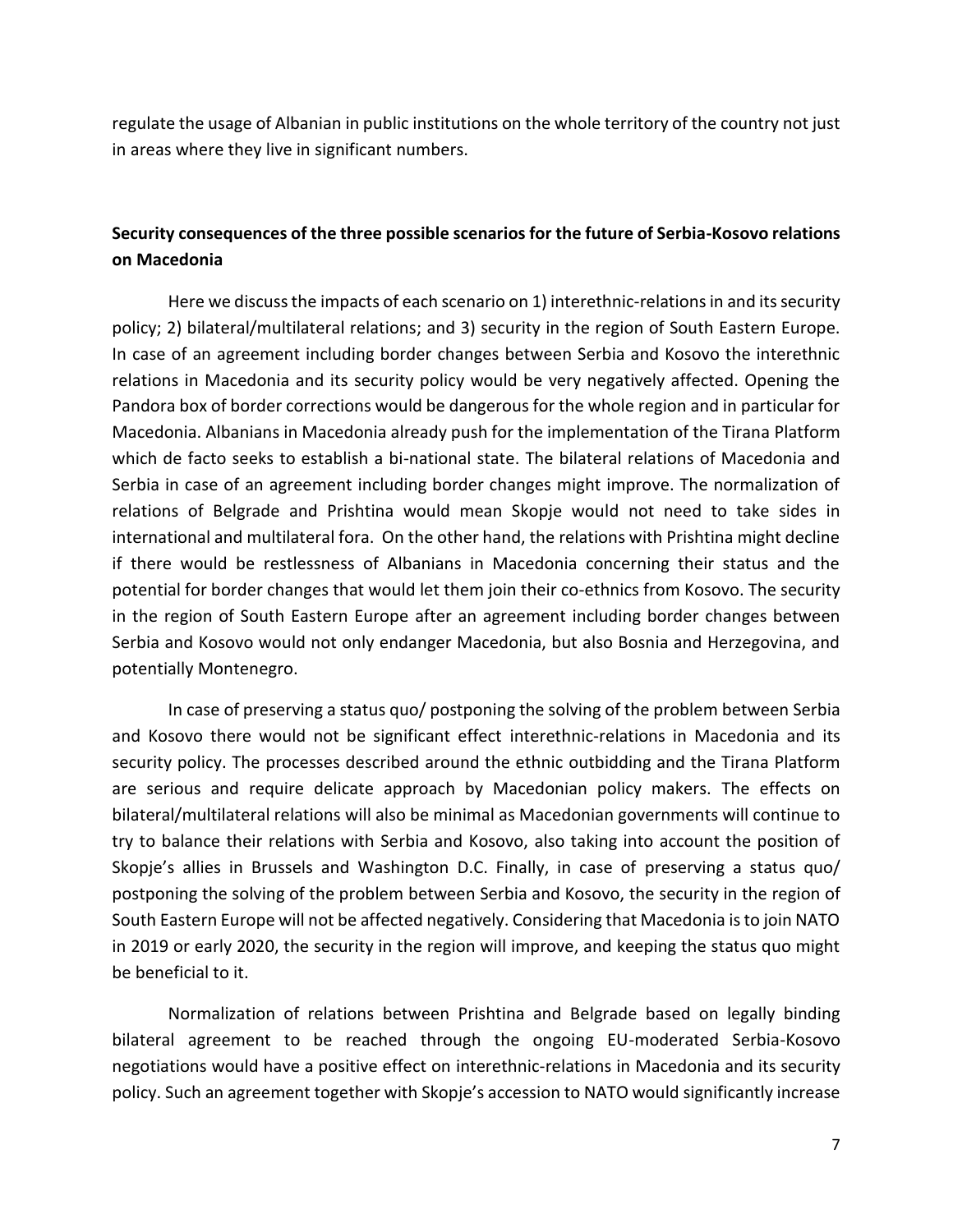regulate the usage of Albanian in public institutions on the whole territory of the country not just in areas where they live in significant numbers.

# **Security consequences of the three possible scenarios for the future of Serbia-Kosovo relations on Macedonia**

Here we discuss the impacts of each scenario on 1) interethnic-relations in and its security policy; 2) bilateral/multilateral relations; and 3) security in the region of South Eastern Europe. In case of an agreement including border changes between Serbia and Kosovo the interethnic relations in Macedonia and its security policy would be very negatively affected. Opening the Pandora box of border corrections would be dangerous for the whole region and in particular for Macedonia. Albanians in Macedonia already push for the implementation of the Tirana Platform which de facto seeks to establish a bi-national state. The bilateral relations of Macedonia and Serbia in case of an agreement including border changes might improve. The normalization of relations of Belgrade and Prishtina would mean Skopje would not need to take sides in international and multilateral fora. On the other hand, the relations with Prishtina might decline if there would be restlessness of Albanians in Macedonia concerning their status and the potential for border changes that would let them join their co-ethnics from Kosovo. The security in the region of South Eastern Europe after an agreement including border changes between Serbia and Kosovo would not only endanger Macedonia, but also Bosnia and Herzegovina, and potentially Montenegro.

In case of preserving a status quo/ postponing the solving of the problem between Serbia and Kosovo there would not be significant effect interethnic-relations in Macedonia and its security policy. The processes described around the ethnic outbidding and the Tirana Platform are serious and require delicate approach by Macedonian policy makers. The effects on bilateral/multilateral relations will also be minimal as Macedonian governments will continue to try to balance their relations with Serbia and Kosovo, also taking into account the position of Skopje's allies in Brussels and Washington D.C. Finally, in case of preserving a status quo/ postponing the solving of the problem between Serbia and Kosovo, the security in the region of South Eastern Europe will not be affected negatively. Considering that Macedonia is to join NATO in 2019 or early 2020, the security in the region will improve, and keeping the status quo might be beneficial to it.

Normalization of relations between Prishtina and Belgrade based on legally binding bilateral agreement to be reached through the ongoing EU-moderated Serbia-Kosovo negotiations would have a positive effect on interethnic-relations in Macedonia and its security policy. Such an agreement together with Skopje's accession to NATO would significantly increase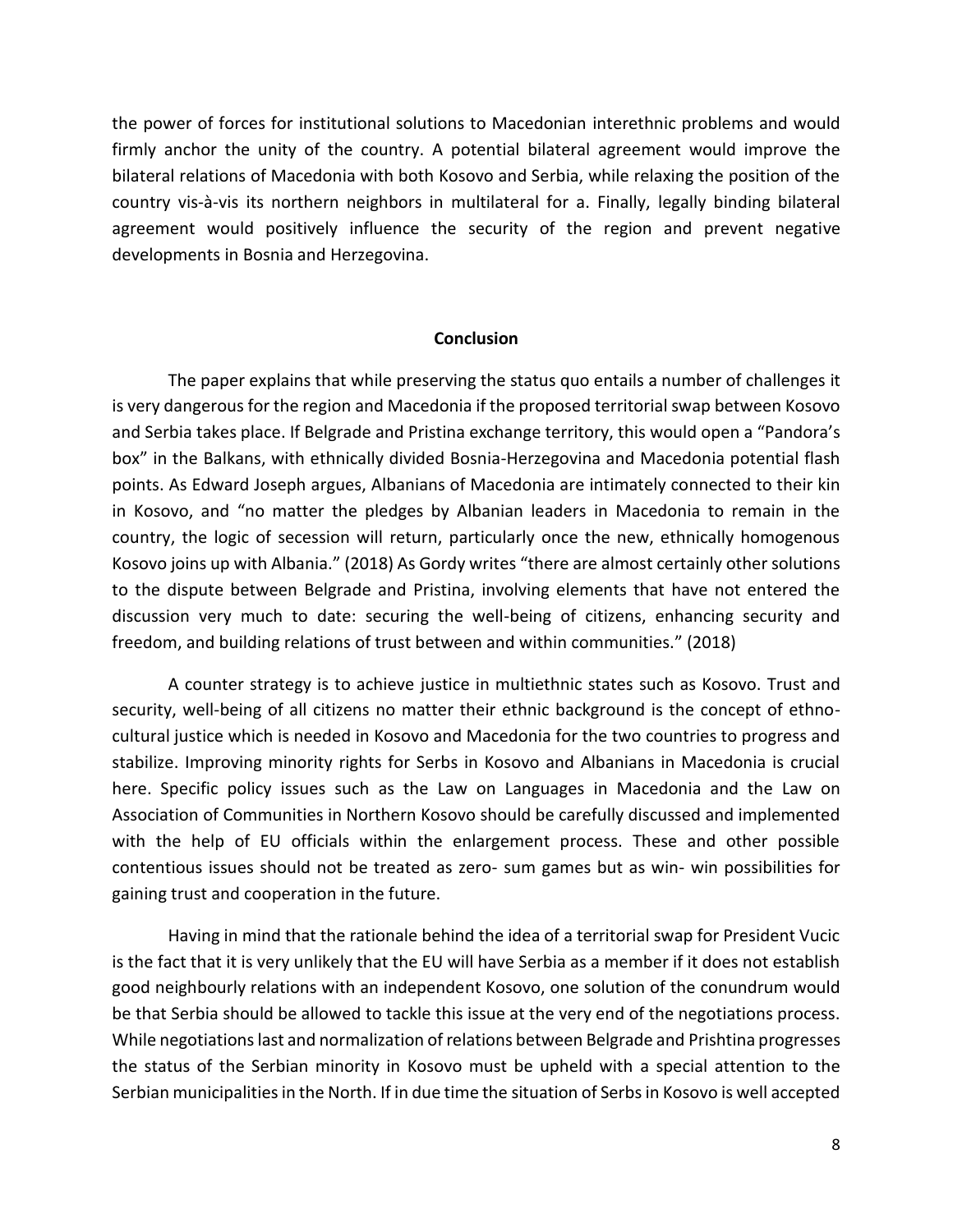the power of forces for institutional solutions to Macedonian interethnic problems and would firmly anchor the unity of the country. A potential bilateral agreement would improve the bilateral relations of Macedonia with both Kosovo and Serbia, while relaxing the position of the country vis-à-vis its northern neighbors in multilateral for a. Finally, legally binding bilateral agreement would positively influence the security of the region and prevent negative developments in Bosnia and Herzegovina.

### **Conclusion**

The paper explains that while preserving the status quo entails a number of challenges it is very dangerous for the region and Macedonia if the proposed territorial swap between Kosovo and Serbia takes place. If Belgrade and Pristina exchange territory, this would open a "Pandora's box" in the Balkans, with ethnically divided Bosnia-Herzegovina and Macedonia potential flash points. As Edward Joseph argues, Albanians of Macedonia are intimately connected to their kin in Kosovo, and "no matter the pledges by Albanian leaders in Macedonia to remain in the country, the logic of secession will return, particularly once the new, ethnically homogenous Kosovo joins up with Albania." (2018) As Gordy writes "there are almost certainly other solutions to the dispute between Belgrade and Pristina, involving elements that have not entered the discussion very much to date: securing the well-being of citizens, enhancing security and freedom, and building relations of trust between and within communities." (2018)

A counter strategy is to achieve justice in multiethnic states such as Kosovo. Trust and security, well-being of all citizens no matter their ethnic background is the concept of ethnocultural justice which is needed in Kosovo and Macedonia for the two countries to progress and stabilize. Improving minority rights for Serbs in Kosovo and Albanians in Macedonia is crucial here. Specific policy issues such as the Law on Languages in Macedonia and the Law on Association of Communities in Northern Kosovo should be carefully discussed and implemented with the help of EU officials within the enlargement process. These and other possible contentious issues should not be treated as zero- sum games but as win- win possibilities for gaining trust and cooperation in the future.

Having in mind that the rationale behind the idea of a territorial swap for President Vucic is the fact that it is very unlikely that the EU will have Serbia as a member if it does not establish good neighbourly relations with an independent Kosovo, one solution of the conundrum would be that Serbia should be allowed to tackle this issue at the very end of the negotiations process. While negotiations last and normalization of relations between Belgrade and Prishtina progresses the status of the Serbian minority in Kosovo must be upheld with a special attention to the Serbian municipalities in the North. If in due time the situation of Serbs in Kosovo is well accepted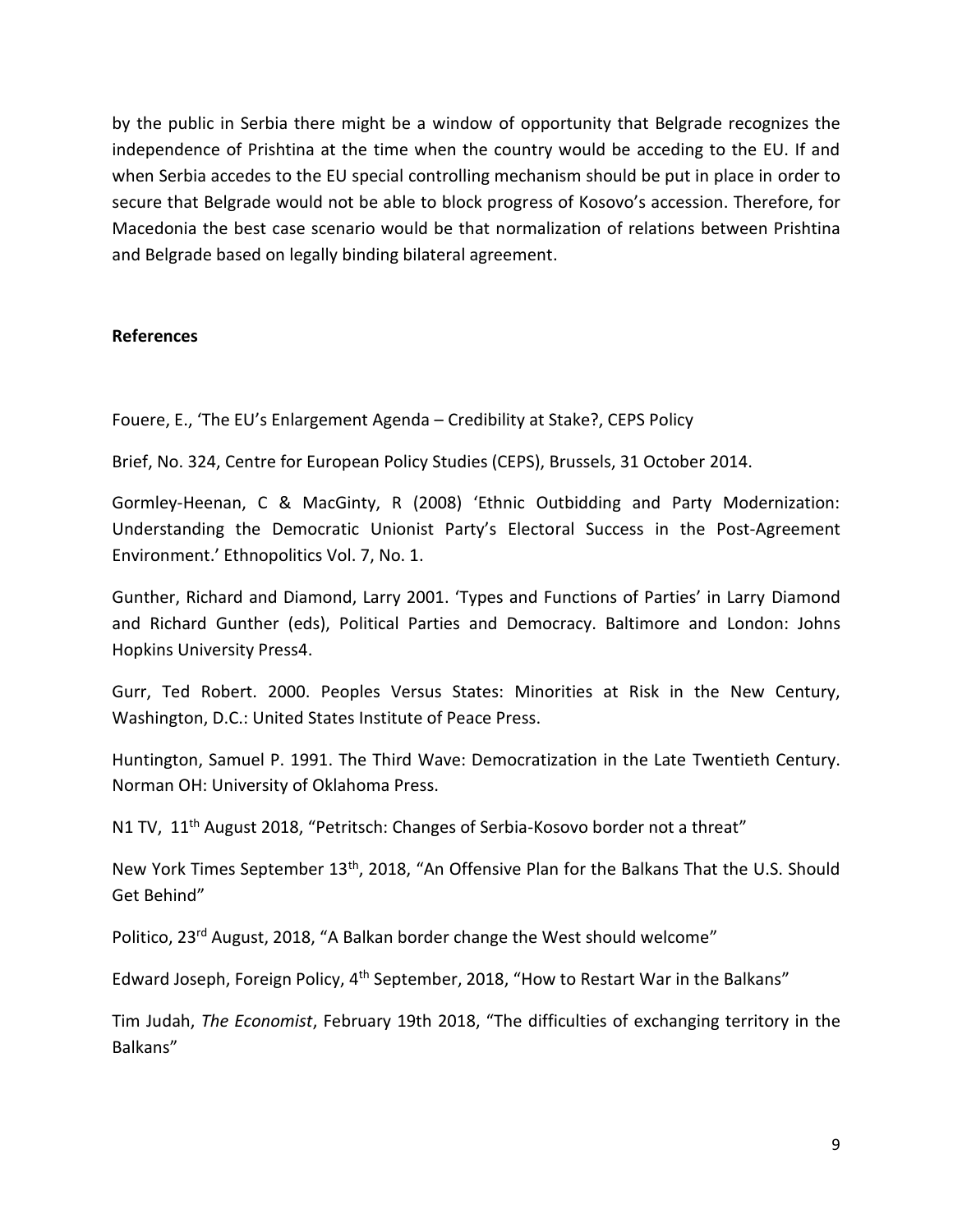by the public in Serbia there might be a window of opportunity that Belgrade recognizes the independence of Prishtina at the time when the country would be acceding to the EU. If and when Serbia accedes to the EU special controlling mechanism should be put in place in order to secure that Belgrade would not be able to block progress of Kosovo's accession. Therefore, for Macedonia the best case scenario would be that normalization of relations between Prishtina and Belgrade based on legally binding bilateral agreement.

# **References**

Fouere, E., 'The EU's Enlargement Agenda – Credibility at Stake?, CEPS Policy

Brief, No. 324, Centre for European Policy Studies (CEPS), Brussels, 31 October 2014.

Gormley-Heenan, C & MacGinty, R (2008) 'Ethnic Outbidding and Party Modernization: Understanding the Democratic Unionist Party's Electoral Success in the Post-Agreement Environment.' Ethnopolitics Vol. 7, No. 1.

Gunther, Richard and Diamond, Larry 2001. 'Types and Functions of Parties' in Larry Diamond and Richard Gunther (eds), Political Parties and Democracy. Baltimore and London: Johns Hopkins University Press4.

Gurr, Ted Robert. 2000. Peoples Versus States: Minorities at Risk in the New Century, Washington, D.C.: United States Institute of Peace Press.

Huntington, Samuel P. 1991. The Third Wave: Democratization in the Late Twentieth Century. Norman OH: University of Oklahoma Press.

N1 TV, 11<sup>th</sup> August 2018, "Petritsch: Changes of Serbia-Kosovo border not a threat"

New York Times September 13<sup>th</sup>, 2018, "An Offensive Plan for the Balkans That the U.S. Should Get Behind"

Politico, 23rd August, 2018, "A Balkan border change the West should welcome"

Edward Joseph, Foreign Policy, 4<sup>th</sup> September, 2018, "How to Restart War in the Balkans"

Tim Judah, *The Economist*, February 19th 2018, "The difficulties of exchanging territory in the Balkans"